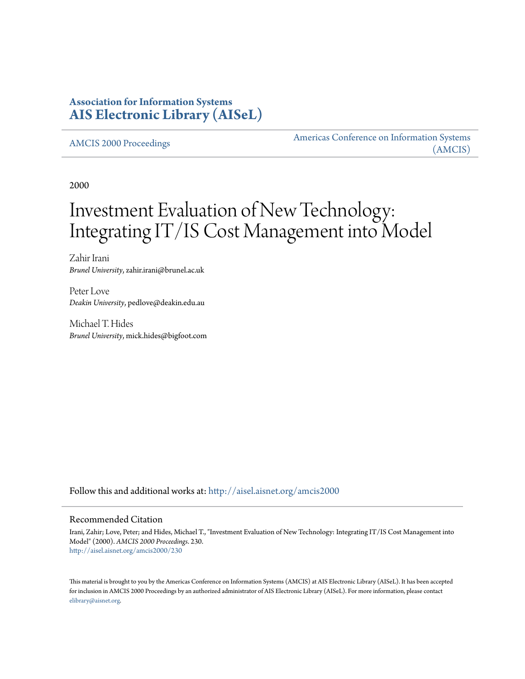# **Association for Information Systems [AIS Electronic Library \(AISeL\)](http://aisel.aisnet.org?utm_source=aisel.aisnet.org%2Famcis2000%2F230&utm_medium=PDF&utm_campaign=PDFCoverPages)**

[AMCIS 2000 Proceedings](http://aisel.aisnet.org/amcis2000?utm_source=aisel.aisnet.org%2Famcis2000%2F230&utm_medium=PDF&utm_campaign=PDFCoverPages)

[Americas Conference on Information Systems](http://aisel.aisnet.org/amcis?utm_source=aisel.aisnet.org%2Famcis2000%2F230&utm_medium=PDF&utm_campaign=PDFCoverPages) [\(AMCIS\)](http://aisel.aisnet.org/amcis?utm_source=aisel.aisnet.org%2Famcis2000%2F230&utm_medium=PDF&utm_campaign=PDFCoverPages)

2000

# Investment Evaluation of New Technology: Integrating IT/IS Cost Management into Model

Zahir Irani *Brunel University*, zahir.irani@brunel.ac.uk

Peter Love *Deakin University*, pedlove@deakin.edu.au

Michael T. Hides *Brunel University*, mick.hides@bigfoot.com

Follow this and additional works at: [http://aisel.aisnet.org/amcis2000](http://aisel.aisnet.org/amcis2000?utm_source=aisel.aisnet.org%2Famcis2000%2F230&utm_medium=PDF&utm_campaign=PDFCoverPages)

#### Recommended Citation

Irani, Zahir; Love, Peter; and Hides, Michael T., "Investment Evaluation of New Technology: Integrating IT/IS Cost Management into Model" (2000). *AMCIS 2000 Proceedings*. 230. [http://aisel.aisnet.org/amcis2000/230](http://aisel.aisnet.org/amcis2000/230?utm_source=aisel.aisnet.org%2Famcis2000%2F230&utm_medium=PDF&utm_campaign=PDFCoverPages)

This material is brought to you by the Americas Conference on Information Systems (AMCIS) at AIS Electronic Library (AISeL). It has been accepted for inclusion in AMCIS 2000 Proceedings by an authorized administrator of AIS Electronic Library (AISeL). For more information, please contact [elibrary@aisnet.org.](mailto:elibrary@aisnet.org%3E)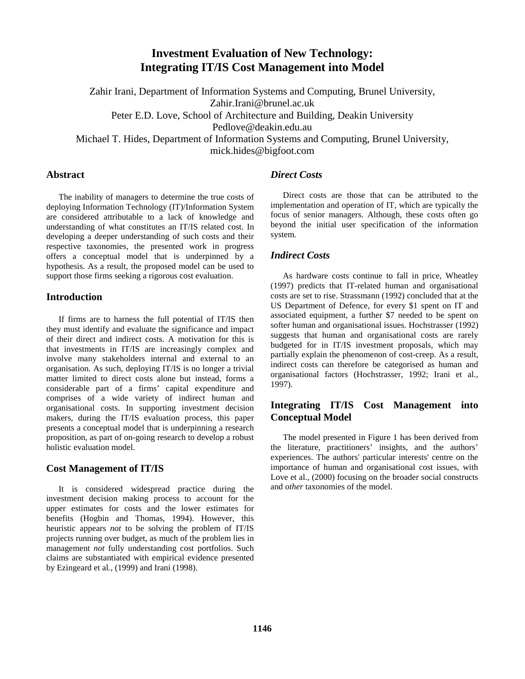# **Investment Evaluation of New Technology: Integrating IT/IS Cost Management into Model**

Zahir Irani, Department of Information Systems and Computing, Brunel University, Zahir.Irani@brunel.ac.uk Peter E.D. Love, School of Architecture and Building, Deakin University Pedlove@deakin.edu.au Michael T. Hides, Department of Information Systems and Computing, Brunel University, mick.hides@bigfoot.com

#### **Abstract**

The inability of managers to determine the true costs of deploying Information Technology (IT)/Information System are considered attributable to a lack of knowledge and understanding of what constitutes an IT/IS related cost. In developing a deeper understanding of such costs and their respective taxonomies, the presented work in progress offers a conceptual model that is underpinned by a hypothesis. As a result, the proposed model can be used to support those firms seeking a rigorous cost evaluation.

## **Introduction**

If firms are to harness the full potential of IT/IS then they must identify and evaluate the significance and impact of their direct and indirect costs. A motivation for this is that investments in IT/IS are increasingly complex and involve many stakeholders internal and external to an organisation. As such, deploying IT/IS is no longer a trivial matter limited to direct costs alone but instead, forms a considerable part of a firms' capital expenditure and comprises of a wide variety of indirect human and organisational costs. In supporting investment decision makers, during the IT/IS evaluation process, this paper presents a conceptual model that is underpinning a research proposition, as part of on-going research to develop a robust holistic evaluation model.

## **Cost Management of IT/IS**

It is considered widespread practice during the investment decision making process to account for the upper estimates for costs and the lower estimates for benefits (Hogbin and Thomas, 1994). However, this heuristic appears *not* to be solving the problem of IT/IS projects running over budget, as much of the problem lies in management *not* fully understanding cost portfolios. Such claims are substantiated with empirical evidence presented by Ezingeard et al*.,* (1999) and Irani (1998).

# *Direct Costs*

Direct costs are those that can be attributed to the implementation and operation of IT, which are typically the focus of senior managers. Although, these costs often go beyond the initial user specification of the information system.

# *Indirect Costs*

As hardware costs continue to fall in price, Wheatley (1997) predicts that IT-related human and organisational costs are set to rise. Strassmann (1992) concluded that at the US Department of Defence, for every \$1 spent on IT and associated equipment, a further \$7 needed to be spent on softer human and organisational issues. Hochstrasser (1992) suggests that human and organisational costs are rarely budgeted for in IT/IS investment proposals, which may partially explain the phenomenon of cost-creep. As a result, indirect costs can therefore be categorised as human and organisational factors (Hochstrasser, 1992; Irani et al*.,* 1997).

## **Integrating IT/IS Cost Management into Conceptual Model**

The model presented in Figure 1 has been derived from the literature, practitioners' insights, and the authors' experiences. The authors' particular interests' centre on the importance of human and organisational cost issues, with Love et al., (2000) focusing on the broader social constructs and *other* taxonomies of the model.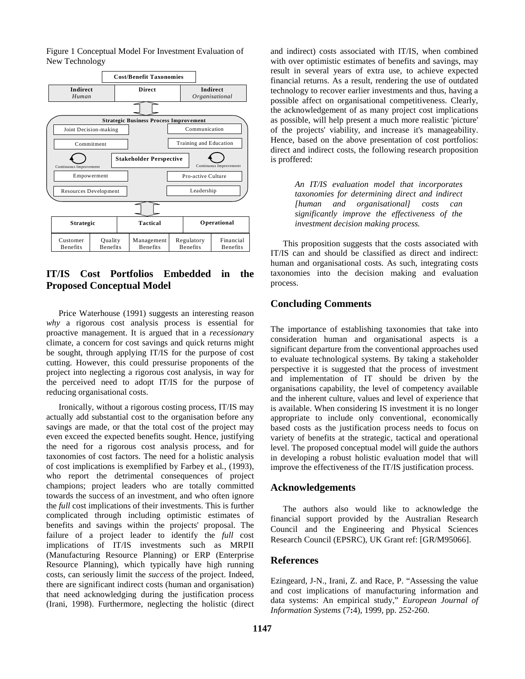Figure 1 Conceptual Model For Investment Evaluation of New Technology



# **IT/IS Cost Portfolios Embedded in the Proposed Conceptual Model**

Price Waterhouse (1991) suggests an interesting reason *why* a rigorous cost analysis process is essential for proactive management. It is argued that in a *recessionar*y climate, a concern for cost savings and quick returns might be sought, through applying IT/IS for the purpose of cost cutting. However, this could pressurise proponents of the project into neglecting a rigorous cost analysis, in way for the perceived need to adopt IT/IS for the purpose of reducing organisational costs.

Ironically, without a rigorous costing process, IT/IS may actually add substantial cost to the organisation before any savings are made, or that the total cost of the project may even exceed the expected benefits sought. Hence, justifying the need for a rigorous cost analysis process, and for taxonomies of cost factors. The need for a holistic analysis of cost implications is exemplified by Farbey et al*.*, (1993), who report the detrimental consequences of project champions; project leaders who are totally committed towards the success of an investment, and who often ignore the *full* cost implications of their investments. This is further complicated through including optimistic estimates of benefits and savings within the projects' proposal. The failure of a project leader to identify the *full* cost implications of IT/IS investments such as MRPII (Manufacturing Resource Planning) or ERP (Enterprise Resource Planning), which typically have high running costs, can seriously limit the *success* of the project. Indeed, there are significant indirect costs (human and organisation) that need acknowledging during the justification process (Irani, 1998). Furthermore, neglecting the holistic (direct and indirect) costs associated with IT/IS, when combined with over optimistic estimates of benefits and savings, may result in several years of extra use, to achieve expected financial returns. As a result, rendering the use of outdated technology to recover earlier investments and thus, having a possible affect on organisational competitiveness. Clearly, the acknowledgement of as many project cost implications as possible, will help present a much more realistic 'picture' of the projects' viability, and increase it's manageability. Hence, based on the above presentation of cost portfolios: direct and indirect costs, the following research proposition is proffered:

> *An IT/IS evaluation model that incorporates taxonomies for determining direct and indirect [human and organisational] costs can significantly improve the effectiveness of the investment decision making process.*

This proposition suggests that the costs associated with IT/IS can and should be classified as direct and indirect: human and organisational costs. As such, integrating costs taxonomies into the decision making and evaluation process.

# **Concluding Comments**

The importance of establishing taxonomies that take into consideration human and organisational aspects is a significant departure from the conventional approaches used to evaluate technological systems. By taking a stakeholder perspective it is suggested that the process of investment and implementation of IT should be driven by the organisations capability, the level of competency available and the inherent culture, values and level of experience that is available. When considering IS investment it is no longer appropriate to include only conventional, economically based costs as the justification process needs to focus on variety of benefits at the strategic, tactical and operational level. The proposed conceptual model will guide the authors in developing a robust holistic evaluation model that will improve the effectiveness of the IT/IS justification process.

## **Acknowledgements**

The authors also would like to acknowledge the financial support provided by the Australian Research Council and the Engineering and Physical Sciences Research Council (EPSRC), UK Grant ref: [GR/M95066].

## **References**

Ezingeard, J-N., Irani, Z. and Race, P. "Assessing the value and cost implications of manufacturing information and data systems: An empirical study," *European Journal of Information Systems* (7**:**4), 1999, pp. 252-260.